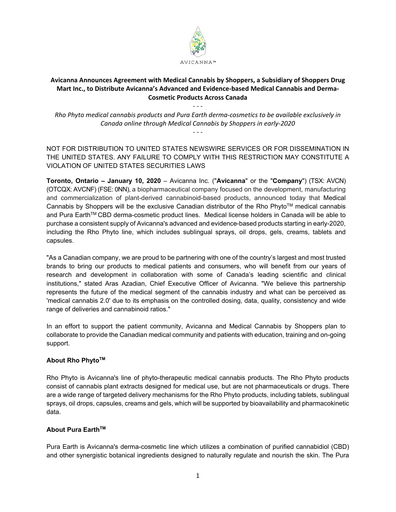

# **Avicanna Announces Agreement with Medical Cannabis by Shoppers, a Subsidiary of Shoppers Drug Mart Inc., to Distribute Avicanna's Advanced and Evidence‐based Medical Cannabis and Derma‐ Cosmetic Products Across Canada**

*Rho Phyto medical cannabis products and Pura Earth derma‐cosmetics to be available exclusively in Canada online through Medical Cannabis by Shoppers in early‐2020 ‐ ‐ ‐* 

*‐ ‐ ‐* 

NOT FOR DISTRIBUTION TO UNITED STATES NEWSWIRE SERVICES OR FOR DISSEMINATION IN THE UNITED STATES. ANY FAILURE TO COMPLY WITH THIS RESTRICTION MAY CONSTITUTE A VIOLATION OF UNITED STATES SECURITIES LAWS

**Toronto, Ontario – January 10, 2020** – Avicanna Inc. ("**Avicanna**" or the "**Company**") (TSX: AVCN) (OTCQX: AVCNF) (FSE: 0NN), a biopharmaceutical company focused on the development, manufacturing and commercialization of plant-derived cannabinoid-based products, announced today that Medical Cannabis by Shoppers will be the exclusive Canadian distributor of the Rho Phyto™ medical cannabis and Pura Earth<sup>™</sup> CBD derma-cosmetic product lines. Medical license holders in Canada will be able to purchase a consistent supply of Avicanna's advanced and evidence-based products starting in early-2020, including the Rho Phyto line, which includes sublingual sprays, oil drops, gels, creams, tablets and capsules.

"As a Canadian company, we are proud to be partnering with one of the country's largest and most trusted brands to bring our products to medical patients and consumers, who will benefit from our years of research and development in collaboration with some of Canada's leading scientific and clinical institutions," stated Aras Azadian, Chief Executive Officer of Avicanna. "We believe this partnership represents the future of the medical segment of the cannabis industry and what can be perceived as 'medical cannabis 2.0' due to its emphasis on the controlled dosing, data, quality, consistency and wide range of deliveries and cannabinoid ratios."

In an effort to support the patient community, Avicanna and Medical Cannabis by Shoppers plan to collaborate to provide the Canadian medical community and patients with education, training and on-going support.

# **About Rho PhytoTM**

Rho Phyto is Avicanna's line of phyto-therapeutic medical cannabis products. The Rho Phyto products consist of cannabis plant extracts designed for medical use, but are not pharmaceuticals or drugs. There are a wide range of targeted delivery mechanisms for the Rho Phyto products, including tablets, sublingual sprays, oil drops, capsules, creams and gels, which will be supported by bioavailability and pharmacokinetic data.

## **About Pura Earth™**

Pura Earth is Avicanna's derma-cosmetic line which utilizes a combination of purified cannabidiol (CBD) and other synergistic botanical ingredients designed to naturally regulate and nourish the skin. The Pura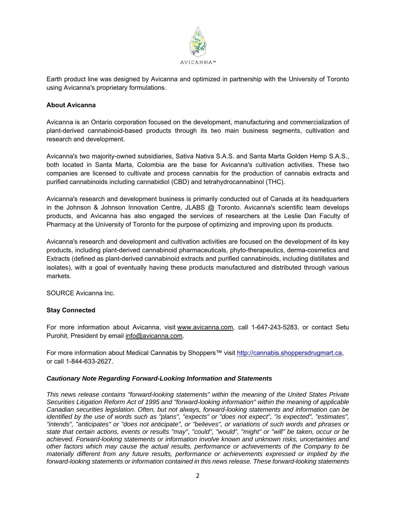

Earth product line was designed by Avicanna and optimized in partnership with the University of Toronto using Avicanna's proprietary formulations.

### **About Avicanna**

Avicanna is an Ontario corporation focused on the development, manufacturing and commercialization of plant-derived cannabinoid-based products through its two main business segments, cultivation and research and development.

Avicanna's two majority-owned subsidiaries, Sativa Nativa S.A.S. and Santa Marta Golden Hemp S.A.S., both located in Santa Marta, Colombia are the base for Avicanna's cultivation activities. These two companies are licensed to cultivate and process cannabis for the production of cannabis extracts and purified cannabinoids including cannabidiol (CBD) and tetrahydrocannabinol (THC).

Avicanna's research and development business is primarily conducted out of Canada at its headquarters in the Johnson & Johnson Innovation Centre, JLABS @ Toronto. Avicanna's scientific team develops products, and Avicanna has also engaged the services of researchers at the Leslie Dan Faculty of Pharmacy at the University of Toronto for the purpose of optimizing and improving upon its products.

Avicanna's research and development and cultivation activities are focused on the development of its key products, including plant-derived cannabinoid pharmaceuticals, phyto-therapeutics, derma-cosmetics and Extracts (defined as plant-derived cannabinoid extracts and purified cannabinoids, including distillates and isolates), with a goal of eventually having these products manufactured and distributed through various markets.

SOURCE Avicanna Inc.

## **Stay Connected**

For more information about Avicanna, visit www.avicanna.com, call 1-647-243-5283, or contact Setu Purohit, President by email info@avicanna.com.

For more information about Medical Cannabis by Shoppers™ visit http://cannabis.shoppersdrugmart.ca, or call 1-844-633-2627.

#### *Cautionary Note Regarding Forward-Looking Information and Statements*

*This news release contains "forward-looking statements" within the meaning of the United States Private Securities Litigation Reform Act of 1995 and "forward-looking information" within the meaning of applicable Canadian securities legislation. Often, but not always, forward-looking statements and information can be identified by the use of words such as "plans", "expects" or "does not expect", "is expected", "estimates", "intends", "anticipates" or "does not anticipate", or "believes", or variations of such words and phrases or state that certain actions, events or results "may", "could", "would", "might" or "will" be taken, occur or be achieved. Forward-looking statements or information involve known and unknown risks, uncertainties and other factors which may cause the actual results, performance or achievements of the Company to be materially different from any future results, performance or achievements expressed or implied by the forward-looking statements or information contained in this news release. These forward-looking statements*